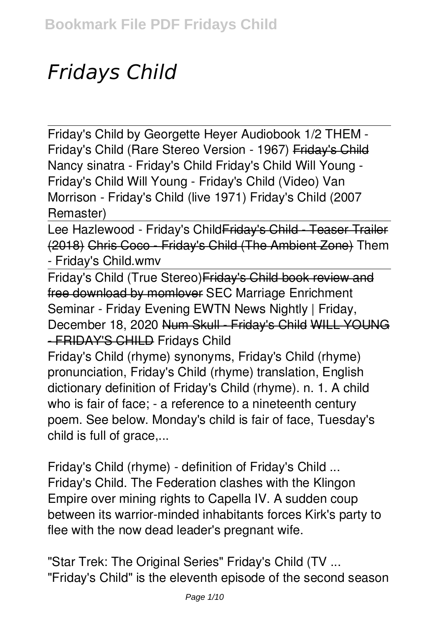# *Fridays Child*

Friday's Child by Georgette Heyer Audiobook 1/2 THEM - Friday's Child (Rare Stereo Version - 1967) Friday's Child **Nancy sinatra - Friday's Child** Friday's Child Will Young - Friday's Child Will Young - Friday's Child (Video) *Van Morrison - Friday's Child (live 1971)* **Friday's Child (2007 Remaster)**

Lee Hazlewood - Friday's Child Friday's Child - Teaser Trailer (2018) Chris Coco - Friday's Child (The Ambient Zone) Them - Friday's Child.wmv

Friday's Child (True Stereo)Friday's Child book review and free download by momlover *SEC Marriage Enrichment Seminar - Friday Evening* EWTN News Nightly | Friday, December 18, 2020 Num Skull - Friday's Child WILL YOUNG - FRIDAY'S CHILD *Fridays Child*

Friday's Child (rhyme) synonyms, Friday's Child (rhyme) pronunciation, Friday's Child (rhyme) translation, English dictionary definition of Friday's Child (rhyme). n. 1. A child who is fair of face; - a reference to a nineteenth century poem. See below. Monday's child is fair of face, Tuesday's child is full of grace,...

*Friday's Child (rhyme) - definition of Friday's Child ...* Friday's Child. The Federation clashes with the Klingon Empire over mining rights to Capella IV. A sudden coup between its warrior-minded inhabitants forces Kirk's party to flee with the now dead leader's pregnant wife.

*"Star Trek: The Original Series" Friday's Child (TV ...* "Friday's Child" is the eleventh episode of the second season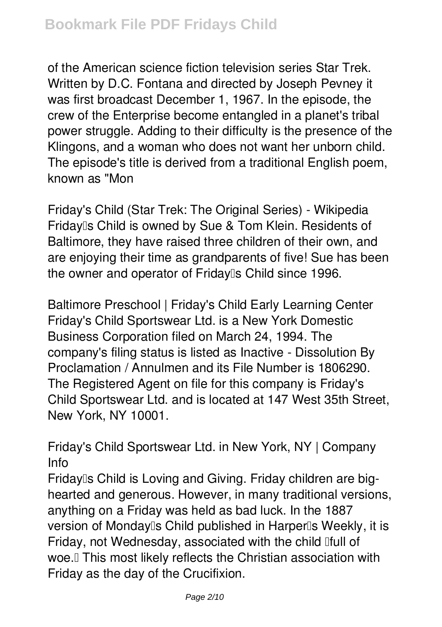of the American science fiction television series Star Trek. Written by D.C. Fontana and directed by Joseph Pevney it was first broadcast December 1, 1967. In the episode, the crew of the Enterprise become entangled in a planet's tribal power struggle. Adding to their difficulty is the presence of the Klingons, and a woman who does not want her unborn child. The episode's title is derived from a traditional English poem, known as "Mon

*Friday's Child (Star Trek: The Original Series) - Wikipedia* Friday<sub>ll</sub>'s Child is owned by Sue & Tom Klein. Residents of Baltimore, they have raised three children of their own, and are enjoying their time as grandparents of five! Sue has been the owner and operator of Friday<sup>®</sup>s Child since 1996.

*Baltimore Preschool | Friday's Child Early Learning Center* Friday's Child Sportswear Ltd. is a New York Domestic Business Corporation filed on March 24, 1994. The company's filing status is listed as Inactive - Dissolution By Proclamation / Annulmen and its File Number is 1806290. The Registered Agent on file for this company is Friday's Child Sportswear Ltd. and is located at 147 West 35th Street, New York, NY 10001.

*Friday's Child Sportswear Ltd. in New York, NY | Company Info*

Fridaylls Child is Loving and Giving. Friday children are bighearted and generous. However, in many traditional versions, anything on a Friday was held as bad luck. In the 1887 version of Monday<sup>[]</sup>s Child published in Harper<sup>[]</sup>s Weekly, it is Friday, not Wednesday, associated with the child Ifull of woe.<sup>"</sup> This most likely reflects the Christian association with Friday as the day of the Crucifixion.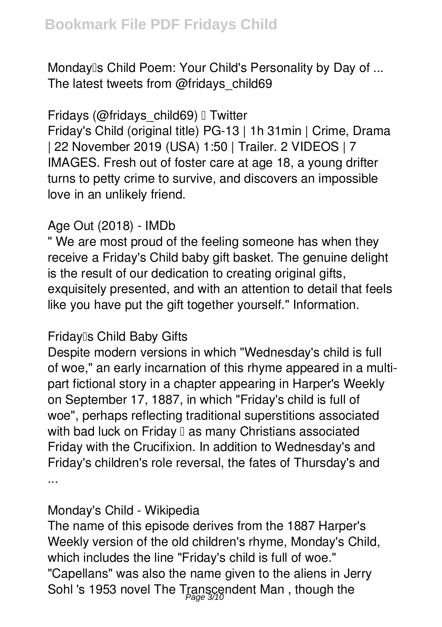*Monday's Child Poem: Your Child's Personality by Day of ...* The latest tweets from @fridays\_child69

#### *Fridays (@fridays\_child69) • Twitter*

Friday's Child (original title) PG-13 | 1h 31min | Crime, Drama | 22 November 2019 (USA) 1:50 | Trailer. 2 VIDEOS | 7 IMAGES. Fresh out of foster care at age 18, a young drifter turns to petty crime to survive, and discovers an impossible love in an unlikely friend.

# *Age Out (2018) - IMDb*

" We are most proud of the feeling someone has when they receive a Friday's Child baby gift basket. The genuine delight is the result of our dedication to creating original gifts, exquisitely presented, and with an attention to detail that feels like you have put the gift together yourself." Information.

## *Friday's Child Baby Gifts*

Despite modern versions in which "Wednesday's child is full of woe," an early incarnation of this rhyme appeared in a multipart fictional story in a chapter appearing in Harper's Weekly on September 17, 1887, in which "Friday's child is full of woe", perhaps reflecting traditional superstitions associated with bad luck on Friday  $\mathbb I$  as many Christians associated Friday with the Crucifixion. In addition to Wednesday's and Friday's children's role reversal, the fates of Thursday's and ...

#### *Monday's Child - Wikipedia*

The name of this episode derives from the 1887 Harper's Weekly version of the old children's rhyme, Monday's Child, which includes the line "Friday's child is full of woe." "Capellans" was also the name given to the aliens in Jerry Sohl 's 1953 novel The Transcendent Man , though the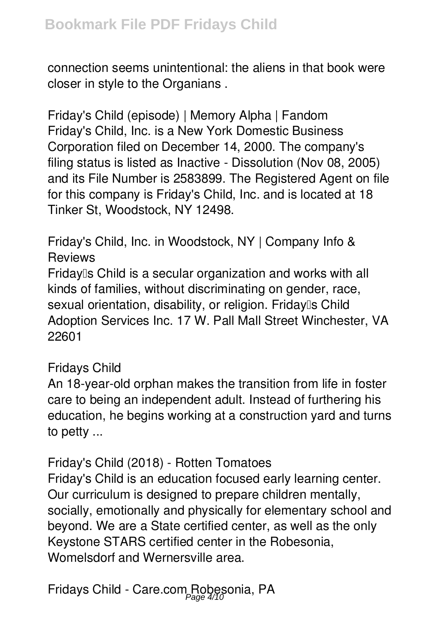connection seems unintentional: the aliens in that book were closer in style to the Organians .

*Friday's Child (episode) | Memory Alpha | Fandom* Friday's Child, Inc. is a New York Domestic Business Corporation filed on December 14, 2000. The company's filing status is listed as Inactive - Dissolution (Nov 08, 2005) and its File Number is 2583899. The Registered Agent on file for this company is Friday's Child, Inc. and is located at 18 Tinker St, Woodstock, NY 12498.

*Friday's Child, Inc. in Woodstock, NY | Company Info & Reviews*

Friday<sup>[]</sup>s Child is a secular organization and works with all kinds of families, without discriminating on gender, race, sexual orientation, disability, or religion. Fridaylls Child Adoption Services Inc. 17 W. Pall Mall Street Winchester, VA 22601

#### *Fridays Child*

An 18-year-old orphan makes the transition from life in foster care to being an independent adult. Instead of furthering his education, he begins working at a construction yard and turns to petty ...

*Friday's Child (2018) - Rotten Tomatoes* Friday's Child is an education focused early learning center. Our curriculum is designed to prepare children mentally, socially, emotionally and physically for elementary school and beyond. We are a State certified center, as well as the only Keystone STARS certified center in the Robesonia, Womelsdorf and Wernersville area.

*Fridays Child - Care.com Robesonia, PA* Page 4/10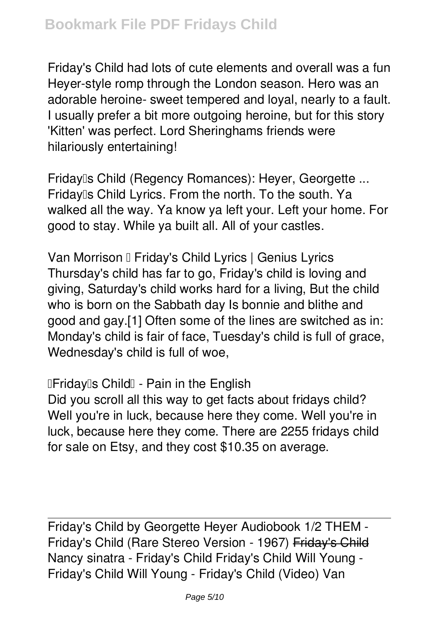Friday's Child had lots of cute elements and overall was a fun Heyer-style romp through the London season. Hero was an adorable heroine- sweet tempered and loyal, nearly to a fault. I usually prefer a bit more outgoing heroine, but for this story 'Kitten' was perfect. Lord Sheringhams friends were hilariously entertaining!

*Friday's Child (Regency Romances): Heyer, Georgette ...* Friday<sup>®</sup>s Child Lyrics. From the north. To the south. Ya walked all the way. Ya know ya left your. Left your home. For good to stay. While ya built all. All of your castles.

*Van Morrison – Friday's Child Lyrics | Genius Lyrics* Thursday's child has far to go, Friday's child is loving and giving, Saturday's child works hard for a living, But the child who is born on the Sabbath day Is bonnie and blithe and good and gay.[1] Often some of the lines are switched as in: Monday's child is fair of face, Tuesday's child is full of grace, Wednesday's child is full of woe,

*"Friday's Child" - Pain in the English*

Did you scroll all this way to get facts about fridays child? Well you're in luck, because here they come. Well you're in luck, because here they come. There are 2255 fridays child for sale on Etsy, and they cost \$10.35 on average.

Friday's Child by Georgette Heyer Audiobook 1/2 THEM - Friday's Child (Rare Stereo Version - 1967) Friday's Child **Nancy sinatra - Friday's Child** Friday's Child Will Young - Friday's Child Will Young - Friday's Child (Video) *Van*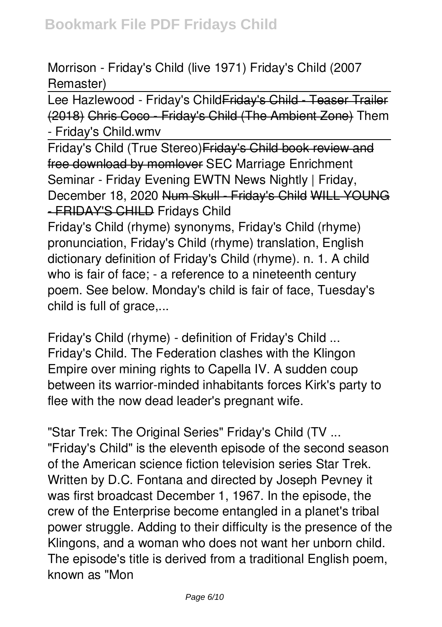## *Morrison - Friday's Child (live 1971)* **Friday's Child (2007 Remaster)**

Lee Hazlewood - Friday's Child Friday's Child - Teaser Trailer (2018) Chris Coco - Friday's Child (The Ambient Zone) Them - Friday's Child.wmv

Friday's Child (True Stereo)Friday's Child book review and free download by momlover *SEC Marriage Enrichment Seminar - Friday Evening* EWTN News Nightly | Friday, December 18, 2020 Num Skull - Friday's Child WILL YOUNG - FRIDAY'S CHILD *Fridays Child*

Friday's Child (rhyme) synonyms, Friday's Child (rhyme) pronunciation, Friday's Child (rhyme) translation, English dictionary definition of Friday's Child (rhyme). n. 1. A child who is fair of face; - a reference to a nineteenth century poem. See below. Monday's child is fair of face, Tuesday's child is full of grace,...

*Friday's Child (rhyme) - definition of Friday's Child ...* Friday's Child. The Federation clashes with the Klingon Empire over mining rights to Capella IV. A sudden coup between its warrior-minded inhabitants forces Kirk's party to flee with the now dead leader's pregnant wife.

*"Star Trek: The Original Series" Friday's Child (TV ...* "Friday's Child" is the eleventh episode of the second season of the American science fiction television series Star Trek. Written by D.C. Fontana and directed by Joseph Pevney it was first broadcast December 1, 1967. In the episode, the crew of the Enterprise become entangled in a planet's tribal power struggle. Adding to their difficulty is the presence of the Klingons, and a woman who does not want her unborn child. The episode's title is derived from a traditional English poem, known as "Mon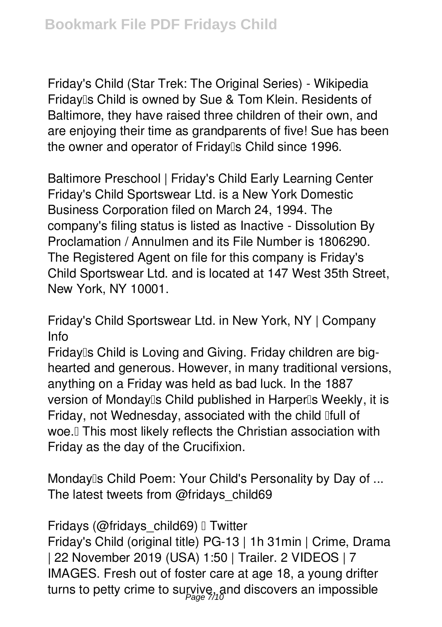*Friday's Child (Star Trek: The Original Series) - Wikipedia* Friday<sup>®</sup>s Child is owned by Sue & Tom Klein. Residents of Baltimore, they have raised three children of their own, and are enjoying their time as grandparents of five! Sue has been the owner and operator of Fridaylls Child since 1996.

*Baltimore Preschool | Friday's Child Early Learning Center* Friday's Child Sportswear Ltd. is a New York Domestic Business Corporation filed on March 24, 1994. The company's filing status is listed as Inactive - Dissolution By Proclamation / Annulmen and its File Number is 1806290. The Registered Agent on file for this company is Friday's Child Sportswear Ltd. and is located at 147 West 35th Street, New York, NY 10001.

*Friday's Child Sportswear Ltd. in New York, NY | Company Info*

Friday<sup>®</sup>s Child is Loving and Giving. Friday children are bighearted and generous. However, in many traditional versions, anything on a Friday was held as bad luck. In the 1887 version of Monday<sup>®</sup>s Child published in Harper<sup>®</sup>s Weekly, it is Friday, not Wednesday, associated with the child lifull of woe.<sup>[]</sup> This most likely reflects the Christian association with Friday as the day of the Crucifixion.

*Monday's Child Poem: Your Child's Personality by Day of ...* The latest tweets from @fridays\_child69

*Fridays (@fridays\_child69)* I Twitter

Friday's Child (original title) PG-13 | 1h 31min | Crime, Drama | 22 November 2019 (USA) 1:50 | Trailer. 2 VIDEOS | 7 IMAGES. Fresh out of foster care at age 18, a young drifter turns to petty crime to survive, and discovers an impossible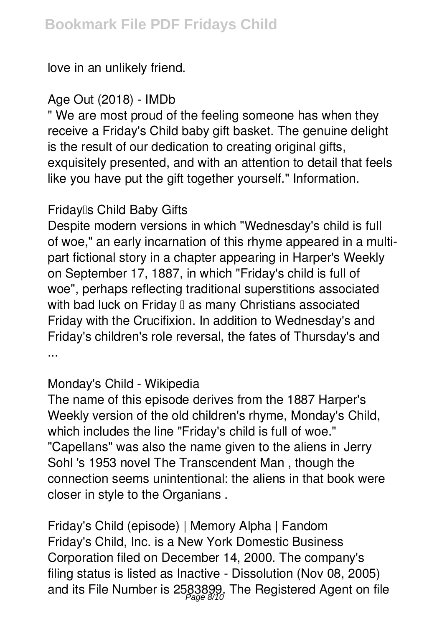love in an unlikely friend.

#### *Age Out (2018) - IMDb*

" We are most proud of the feeling someone has when they receive a Friday's Child baby gift basket. The genuine delight is the result of our dedication to creating original gifts, exquisitely presented, and with an attention to detail that feels like you have put the gift together yourself." Information.

## *Friday's Child Baby Gifts*

Despite modern versions in which "Wednesday's child is full of woe," an early incarnation of this rhyme appeared in a multipart fictional story in a chapter appearing in Harper's Weekly on September 17, 1887, in which "Friday's child is full of woe", perhaps reflecting traditional superstitions associated with bad luck on Friday  $\mathbb I$  as many Christians associated Friday with the Crucifixion. In addition to Wednesday's and Friday's children's role reversal, the fates of Thursday's and ...

## *Monday's Child - Wikipedia*

The name of this episode derives from the 1887 Harper's Weekly version of the old children's rhyme, Monday's Child, which includes the line "Friday's child is full of woe." "Capellans" was also the name given to the aliens in Jerry Sohl 's 1953 novel The Transcendent Man , though the connection seems unintentional: the aliens in that book were closer in style to the Organians .

*Friday's Child (episode) | Memory Alpha | Fandom* Friday's Child, Inc. is a New York Domestic Business Corporation filed on December 14, 2000. The company's filing status is listed as Inactive - Dissolution (Nov 08, 2005) and its File Number is 2583899. The Registered Agent on file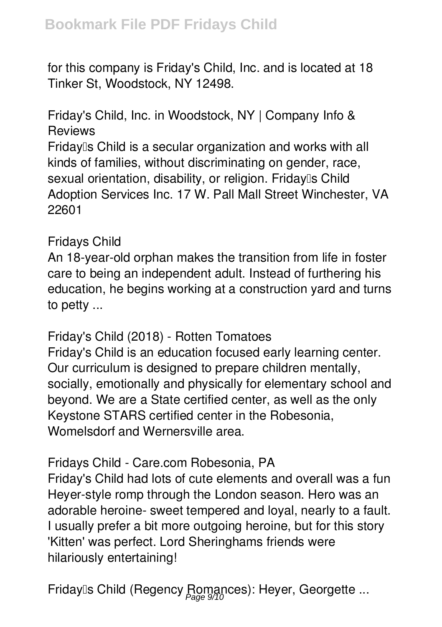for this company is Friday's Child, Inc. and is located at 18 Tinker St, Woodstock, NY 12498.

*Friday's Child, Inc. in Woodstock, NY | Company Info & Reviews*

Friday<sup>®</sup>s Child is a secular organization and works with all kinds of families, without discriminating on gender, race, sexual orientation, disability, or religion. Friday<sup>®</sup>s Child Adoption Services Inc. 17 W. Pall Mall Street Winchester, VA 22601

#### *Fridays Child*

An 18-year-old orphan makes the transition from life in foster care to being an independent adult. Instead of furthering his education, he begins working at a construction yard and turns to petty ...

*Friday's Child (2018) - Rotten Tomatoes*

Friday's Child is an education focused early learning center. Our curriculum is designed to prepare children mentally, socially, emotionally and physically for elementary school and beyond. We are a State certified center, as well as the only Keystone STARS certified center in the Robesonia, Womelsdorf and Wernersville area.

## *Fridays Child - Care.com Robesonia, PA*

Friday's Child had lots of cute elements and overall was a fun Heyer-style romp through the London season. Hero was an adorable heroine- sweet tempered and loyal, nearly to a fault. I usually prefer a bit more outgoing heroine, but for this story 'Kitten' was perfect. Lord Sheringhams friends were hilariously entertaining!

*Friday's Child (Regency Romances): Heyer, Georgette ...* Page 9/10